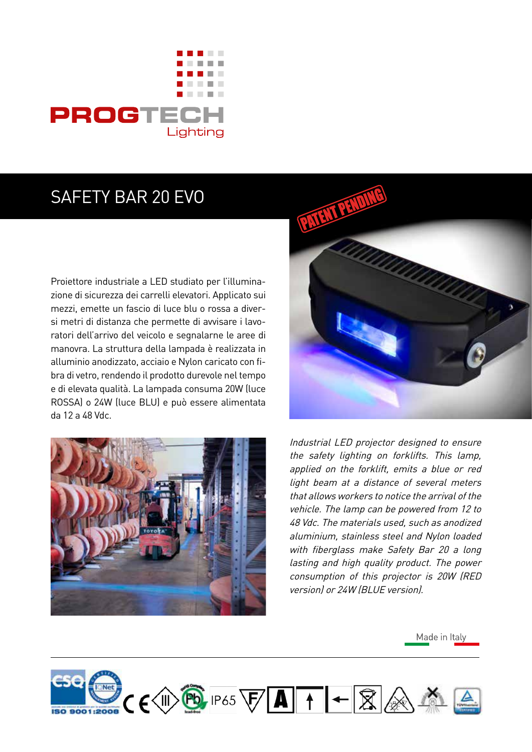

## SAFETY BAR 20 EVO

Proiettore industriale a LED studiato per l'illuminazione di sicurezza dei carrelli elevatori. Applicato sui mezzi, emette un fascio di luce blu o rossa a diversi metri di distanza che permette di avvisare i lavoratori dell'arrivo del veicolo e segnalarne le aree di manovra. La struttura della lampada è realizzata in alluminio anodizzato, acciaio e Nylon caricato con fibra di vetro, rendendo il prodotto durevole nel tempo e di elevata qualità. La lampada consuma 20W (luce ROSSA) o 24W (luce BLU) e può essere alimentata da 12 a 48 Vdc.





Industrial LED projector designed to ensure the safety lighting on forklifts. This lamp, applied on the forklift, emits a blue or red light beam at a distance of several meters that allows workers to notice the arrival of the vehicle. The lamp can be powered from 12 to 48 Vdc. The materials used, such as anodized aluminium, stainless steel and Nylon loaded with fiberglass make Safety Bar 20 a long lasting and high quality product. The power consumption of this projector is 20W (RED version) or 24W (BLUE version).

Made in Italy